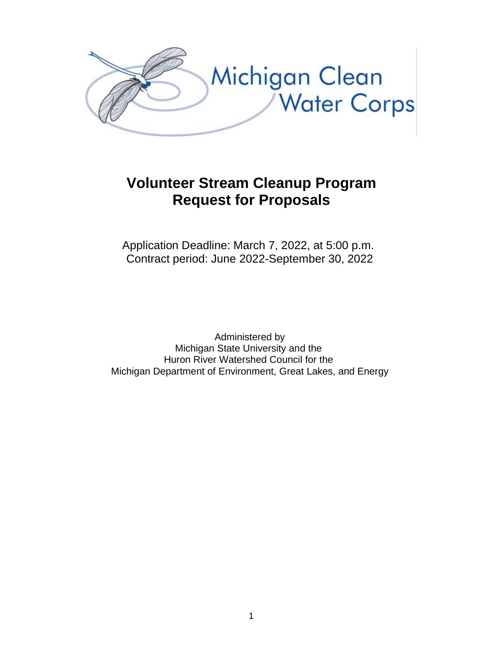

# **Volunteer Stream Cleanup Program Request for Proposals**

Application Deadline: March 7, 2022, at 5:00 p.m. Contract period: June 2022-September 30, 2022

Administered by Michigan State University and the Huron River Watershed Council for the Michigan Department of Environment, Great Lakes, and Energy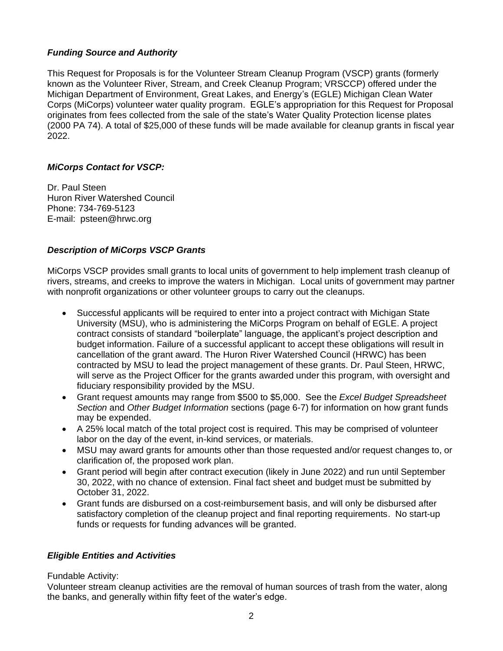#### *Funding Source and Authority*

This Request for Proposals is for the Volunteer Stream Cleanup Program (VSCP) grants (formerly known as the Volunteer River, Stream, and Creek Cleanup Program; VRSCCP) offered under the Michigan Department of Environment, Great Lakes, and Energy's (EGLE) Michigan Clean Water Corps (MiCorps) volunteer water quality program. EGLE's appropriation for this Request for Proposal originates from fees collected from the sale of the state's Water Quality Protection license plates (2000 PA 74). A total of \$25,000 of these funds will be made available for cleanup grants in fiscal year 2022.

### *MiCorps Contact for VSCP:*

Dr. Paul Steen Huron River Watershed Council Phone: 734-769-5123 E-mail: psteen@hrwc.org

### *Description of MiCorps VSCP Grants*

MiCorps VSCP provides small grants to local units of government to help implement trash cleanup of rivers, streams, and creeks to improve the waters in Michigan. Local units of government may partner with nonprofit organizations or other volunteer groups to carry out the cleanups.

- Successful applicants will be required to enter into a project contract with Michigan State University (MSU), who is administering the MiCorps Program on behalf of EGLE. A project contract consists of standard "boilerplate" language, the applicant's project description and budget information. Failure of a successful applicant to accept these obligations will result in cancellation of the grant award. The Huron River Watershed Council (HRWC) has been contracted by MSU to lead the project management of these grants. Dr. Paul Steen, HRWC, will serve as the Project Officer for the grants awarded under this program, with oversight and fiduciary responsibility provided by the MSU.
- Grant request amounts may range from \$500 to \$5,000. See the *Excel Budget Spreadsheet Section* and *Other Budget Information* sections (page 6-7) for information on how grant funds may be expended.
- A 25% local match of the total project cost is required. This may be comprised of volunteer labor on the day of the event, in-kind services, or materials.
- MSU may award grants for amounts other than those requested and/or request changes to, or clarification of, the proposed work plan.
- Grant period will begin after contract execution (likely in June 2022) and run until September 30, 2022, with no chance of extension. Final fact sheet and budget must be submitted by October 31, 2022.
- Grant funds are disbursed on a cost-reimbursement basis, and will only be disbursed after satisfactory completion of the cleanup project and final reporting requirements. No start-up funds or requests for funding advances will be granted.

#### *Eligible Entities and Activities*

Fundable Activity:

Volunteer stream cleanup activities are the removal of human sources of trash from the water, along the banks, and generally within fifty feet of the water's edge.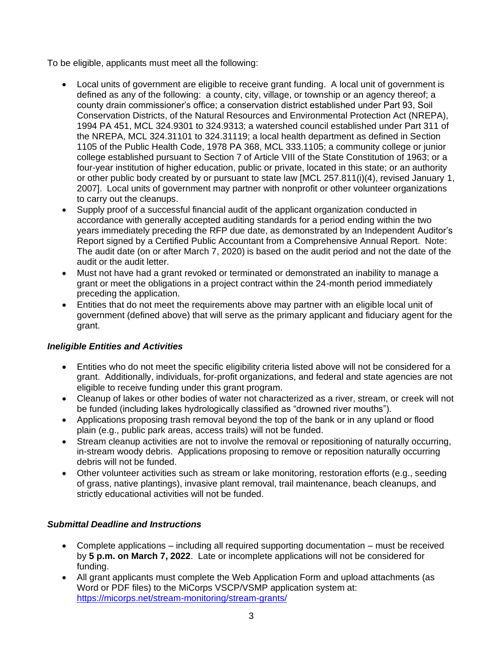To be eligible, applicants must meet all the following:

- Local units of government are eligible to receive grant funding. A local unit of government is defined as any of the following: a county, city, village, or township or an agency thereof; a county drain commissioner's office; a conservation district established under Part 93, Soil Conservation Districts, of the Natural Resources and Environmental Protection Act (NREPA), 1994 PA 451, MCL 324.9301 to 324.9313; a watershed council established under Part 311 of the NREPA, MCL 324.31101 to 324.31119; a local health department as defined in Section 1105 of the Public Health Code, 1978 PA 368, MCL 333.1105; a community college or junior college established pursuant to Section 7 of Article VIII of the State Constitution of 1963; or a four-year institution of higher education, public or private, located in this state; or an authority or other public body created by or pursuant to state law [MCL 257.811(i)(4), revised January 1, 2007]. Local units of government may partner with nonprofit or other volunteer organizations to carry out the cleanups.
- Supply proof of a successful financial audit of the applicant organization conducted in accordance with generally accepted auditing standards for a period ending within the two years immediately preceding the RFP due date, as demonstrated by an Independent Auditor's Report signed by a Certified Public Accountant from a Comprehensive Annual Report. Note: The audit date (on or after March 7, 2020) is based on the audit period and not the date of the audit or the audit letter.
- Must not have had a grant revoked or terminated or demonstrated an inability to manage a grant or meet the obligations in a project contract within the 24-month period immediately preceding the application.
- Entities that do not meet the requirements above may partner with an eligible local unit of government (defined above) that will serve as the primary applicant and fiduciary agent for the grant.

## *Ineligible Entities and Activities*

- Entities who do not meet the specific eligibility criteria listed above will not be considered for a grant. Additionally, individuals, for-profit organizations, and federal and state agencies are not eligible to receive funding under this grant program.
- Cleanup of lakes or other bodies of water not characterized as a river, stream, or creek will not be funded (including lakes hydrologically classified as "drowned river mouths").
- Applications proposing trash removal beyond the top of the bank or in any upland or flood plain (e.g., public park areas, access trails) will not be funded.
- Stream cleanup activities are not to involve the removal or repositioning of naturally occurring, in-stream woody debris. Applications proposing to remove or reposition naturally occurring debris will not be funded.
- Other volunteer activities such as stream or lake monitoring, restoration efforts (e.g., seeding of grass, native plantings), invasive plant removal, trail maintenance, beach cleanups, and strictly educational activities will not be funded.

## *Submittal Deadline and Instructions*

- Complete applications including all required supporting documentation must be received by **5 p.m. on March 7, 2022**.Late or incomplete applications will not be considered for funding.
- All grant applicants must complete the Web Application Form and upload attachments (as Word or PDF files) to the MiCorps VSCP/VSMP application system at: <https://micorps.net/stream-monitoring/stream-grants/>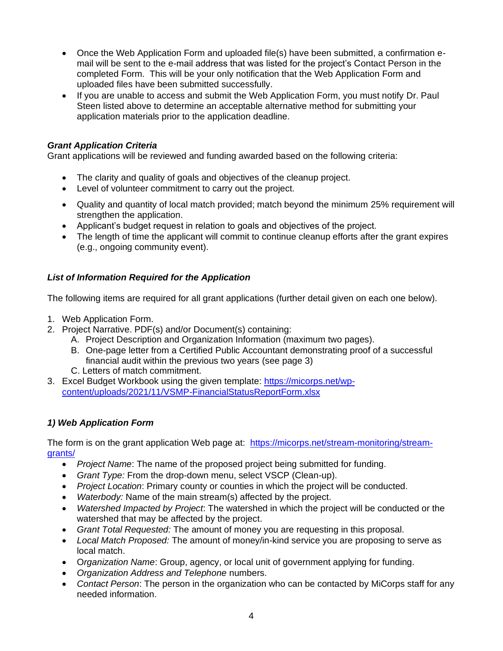- Once the Web Application Form and uploaded file(s) have been submitted, a confirmation email will be sent to the e-mail address that was listed for the project's Contact Person in the completed Form. This will be your only notification that the Web Application Form and uploaded files have been submitted successfully.
- If you are unable to access and submit the Web Application Form, you must notify Dr. Paul Steen listed above to determine an acceptable alternative method for submitting your application materials prior to the application deadline.

## *Grant Application Criteria*

Grant applications will be reviewed and funding awarded based on the following criteria:

- The clarity and quality of goals and objectives of the cleanup project.
- Level of volunteer commitment to carry out the project.
- Quality and quantity of local match provided; match beyond the minimum 25% requirement will strengthen the application.
- Applicant's budget request in relation to goals and objectives of the project.
- The length of time the applicant will commit to continue cleanup efforts after the grant expires (e.g., ongoing community event).

### *List of Information Required for the Application*

The following items are required for all grant applications (further detail given on each one below).

- 1. Web Application Form.
- 2. Project Narrative. PDF(s) and/or Document(s) containing:
	- A. Project Description and Organization Information (maximum two pages).
	- B. One-page letter from a Certified Public Accountant demonstrating proof of a successful financial audit within the previous two years (see page 3)
	- C. Letters of match commitment.
- 3. Excel Budget Workbook using the given template: [https://micorps.net/wp](https://micorps.net/wp-content/uploads/2021/11/VSMP-FinancialStatusReportForm.xlsx)[content/uploads/2021/11/VSMP-FinancialStatusReportForm.xlsx](https://micorps.net/wp-content/uploads/2021/11/VSMP-FinancialStatusReportForm.xlsx)

## *1) Web Application Form*

The form is on the grant application Web page at: [https://micorps.net/stream-monitoring/stream](https://micorps.net/stream-monitoring/stream-grants/)[grants/](https://micorps.net/stream-monitoring/stream-grants/)

- *Project Name*: The name of the proposed project being submitted for funding.
- *Grant Type:* From the drop-down menu, select VSCP (Clean-up).
- *Project Location*: Primary county or counties in which the project will be conducted.
- *Waterbody:* Name of the main stream(s) affected by the project.
- *Watershed Impacted by Project*: The watershed in which the project will be conducted or the watershed that may be affected by the project.
- *Grant Total Requested:* The amount of money you are requesting in this proposal.
- *Local Match Proposed:* The amount of money/in-kind service you are proposing to serve as local match.
- O*rganization Name*: Group, agency, or local unit of government applying for funding.
- *Organization Address and Telephone* numbers.
- *Contact Person*: The person in the organization who can be contacted by MiCorps staff for any needed information.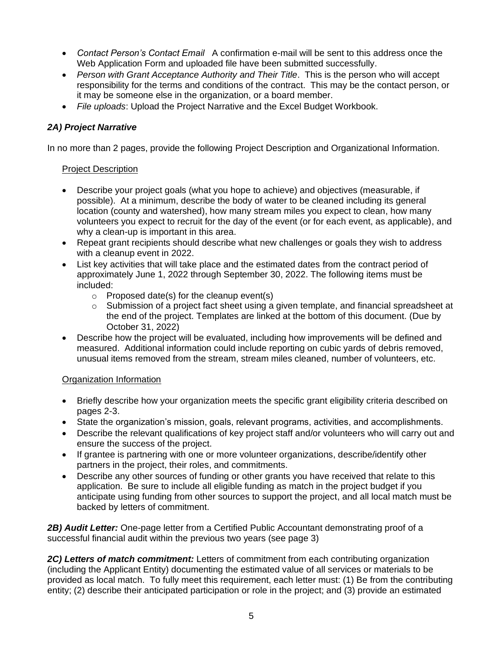- *Contact Person's Contact Email* A confirmation e-mail will be sent to this address once the Web Application Form and uploaded file have been submitted successfully.
- *Person with Grant Acceptance Authority and Their Title*. This is the person who will accept responsibility for the terms and conditions of the contract. This may be the contact person, or it may be someone else in the organization, or a board member.
- *File uploads*: Upload the Project Narrative and the Excel Budget Workbook.

## *2A) Project Narrative*

In no more than 2 pages, provide the following Project Description and Organizational Information.

### Project Description

- Describe your project goals (what you hope to achieve) and objectives (measurable, if possible). At a minimum, describe the body of water to be cleaned including its general location (county and watershed), how many stream miles you expect to clean, how many volunteers you expect to recruit for the day of the event (or for each event, as applicable), and why a clean-up is important in this area.
- Repeat grant recipients should describe what new challenges or goals they wish to address with a cleanup event in 2022.
- List key activities that will take place and the estimated dates from the contract period of approximately June 1, 2022 through September 30, 2022. The following items must be included:
	- $\circ$  Proposed date(s) for the cleanup event(s)
	- $\circ$  Submission of a project fact sheet using a given template, and financial spreadsheet at the end of the project. Templates are linked at the bottom of this document. (Due by October 31, 2022)
- Describe how the project will be evaluated, including how improvements will be defined and measured. Additional information could include reporting on cubic yards of debris removed, unusual items removed from the stream, stream miles cleaned, number of volunteers, etc.

## Organization Information

- Briefly describe how your organization meets the specific grant eligibility criteria described on pages 2-3.
- State the organization's mission, goals, relevant programs, activities, and accomplishments.
- Describe the relevant qualifications of key project staff and/or volunteers who will carry out and ensure the success of the project.
- If grantee is partnering with one or more volunteer organizations, describe/identify other partners in the project, their roles, and commitments.
- Describe any other sources of funding or other grants you have received that relate to this application. Be sure to include all eligible funding as match in the project budget if you anticipate using funding from other sources to support the project, and all local match must be backed by letters of commitment.

*2B) Audit Letter:* One-page letter from a Certified Public Accountant demonstrating proof of a successful financial audit within the previous two years (see page 3)

*2C) Letters of match commitment:* Letters of commitment from each contributing organization (including the Applicant Entity) documenting the estimated value of all services or materials to be provided as local match. To fully meet this requirement, each letter must: (1) Be from the contributing entity; (2) describe their anticipated participation or role in the project; and (3) provide an estimated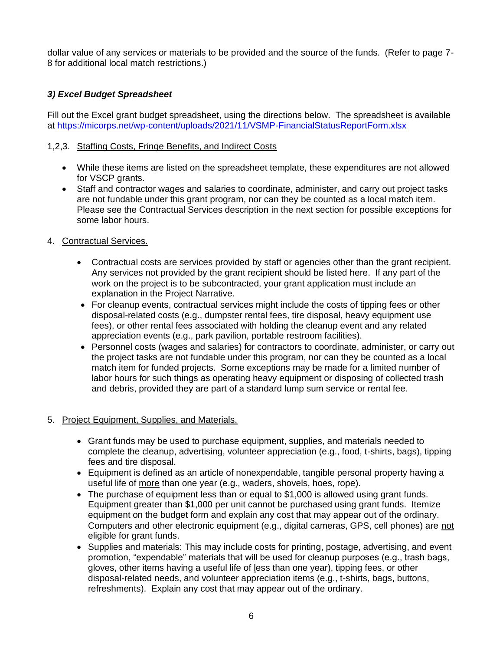dollar value of any services or materials to be provided and the source of the funds. (Refer to page 7- 8 for additional local match restrictions.)

# *3) Excel Budget Spreadsheet*

Fill out the Excel grant budget spreadsheet, using the directions below. The spreadsheet is available at<https://micorps.net/wp-content/uploads/2021/11/VSMP-FinancialStatusReportForm.xlsx>

## 1,2,3. Staffing Costs, Fringe Benefits, and Indirect Costs

- While these items are listed on the spreadsheet template, these expenditures are not allowed for VSCP grants.
- Staff and contractor wages and salaries to coordinate, administer, and carry out project tasks are not fundable under this grant program, nor can they be counted as a local match item. Please see the Contractual Services description in the next section for possible exceptions for some labor hours.
- 4. Contractual Services.
	- Contractual costs are services provided by staff or agencies other than the grant recipient. Any services not provided by the grant recipient should be listed here. If any part of the work on the project is to be subcontracted, your grant application must include an explanation in the Project Narrative.
	- For cleanup events, contractual services might include the costs of tipping fees or other disposal-related costs (e.g., dumpster rental fees, tire disposal, heavy equipment use fees), or other rental fees associated with holding the cleanup event and any related appreciation events (e.g., park pavilion, portable restroom facilities).
	- Personnel costs (wages and salaries) for contractors to coordinate, administer, or carry out the project tasks are not fundable under this program, nor can they be counted as a local match item for funded projects. Some exceptions may be made for a limited number of labor hours for such things as operating heavy equipment or disposing of collected trash and debris, provided they are part of a standard lump sum service or rental fee.

## 5. Project Equipment, Supplies, and Materials.

- Grant funds may be used to purchase equipment, supplies, and materials needed to complete the cleanup, advertising, volunteer appreciation (e.g., food, t-shirts, bags), tipping fees and tire disposal.
- Equipment is defined as an article of nonexpendable, tangible personal property having a useful life of more than one year (e.g., waders, shovels, hoes, rope).
- The purchase of equipment less than or equal to \$1,000 is allowed using grant funds. Equipment greater than \$1,000 per unit cannot be purchased using grant funds. Itemize equipment on the budget form and explain any cost that may appear out of the ordinary. Computers and other electronic equipment (e.g., digital cameras, GPS, cell phones) are not eligible for grant funds.
- Supplies and materials: This may include costs for printing, postage, advertising, and event promotion, "expendable" materials that will be used for cleanup purposes (e.g., trash bags, gloves, other items having a useful life of less than one year), tipping fees, or other disposal-related needs, and volunteer appreciation items (e.g., t-shirts, bags, buttons, refreshments). Explain any cost that may appear out of the ordinary.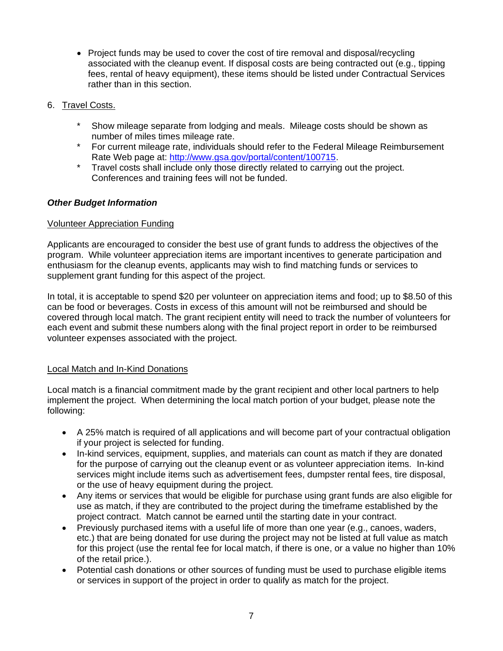- Project funds may be used to cover the cost of tire removal and disposal/recycling associated with the cleanup event. If disposal costs are being contracted out (e.g., tipping fees, rental of heavy equipment), these items should be listed under Contractual Services rather than in this section.
- 6. Travel Costs.
	- \* Show mileage separate from lodging and meals. Mileage costs should be shown as number of miles times mileage rate.
	- \* For current mileage rate, individuals should refer to the Federal Mileage Reimbursement Rate Web page at: [http://www.gsa.gov/portal/content/100715.](http://www.gsa.gov/portal/content/100715)
	- \* Travel costs shall include only those directly related to carrying out the project. Conferences and training fees will not be funded.

### *Other Budget Information*

#### Volunteer Appreciation Funding

Applicants are encouraged to consider the best use of grant funds to address the objectives of the program. While volunteer appreciation items are important incentives to generate participation and enthusiasm for the cleanup events, applicants may wish to find matching funds or services to supplement grant funding for this aspect of the project.

In total, it is acceptable to spend \$20 per volunteer on appreciation items and food; up to \$8.50 of this can be food or beverages. Costs in excess of this amount will not be reimbursed and should be covered through local match. The grant recipient entity will need to track the number of volunteers for each event and submit these numbers along with the final project report in order to be reimbursed volunteer expenses associated with the project.

#### Local Match and In-Kind Donations

Local match is a financial commitment made by the grant recipient and other local partners to help implement the project. When determining the local match portion of your budget, please note the following:

- A 25% match is required of all applications and will become part of your contractual obligation if your project is selected for funding.
- In-kind services, equipment, supplies, and materials can count as match if they are donated for the purpose of carrying out the cleanup event or as volunteer appreciation items. In-kind services might include items such as advertisement fees, dumpster rental fees, tire disposal, or the use of heavy equipment during the project.
- Any items or services that would be eligible for purchase using grant funds are also eligible for use as match, if they are contributed to the project during the timeframe established by the project contract. Match cannot be earned until the starting date in your contract.
- Previously purchased items with a useful life of more than one year (e.g., canoes, waders, etc.) that are being donated for use during the project may not be listed at full value as match for this project (use the rental fee for local match, if there is one, or a value no higher than 10% of the retail price.).
- Potential cash donations or other sources of funding must be used to purchase eligible items or services in support of the project in order to qualify as match for the project.